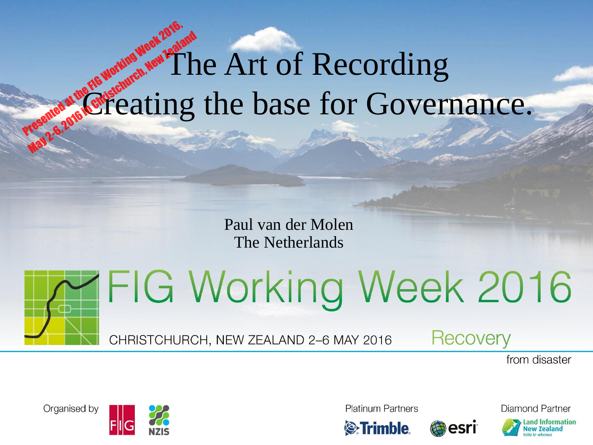#### The Art of Recording Creating the base for Governance. Presented at the FIG Working Week 2016, May 2-6, 2016 in Christchurch, New Zealand

Paul van der Molen The Netherlands



**FIG Working Week 2016** 

CHRISTCHURCH, NEW ZEALAND 2-6 MAY 2016

**Recovery** 

esri

from disaster





**Platinum Partners** 



Diamond Partner

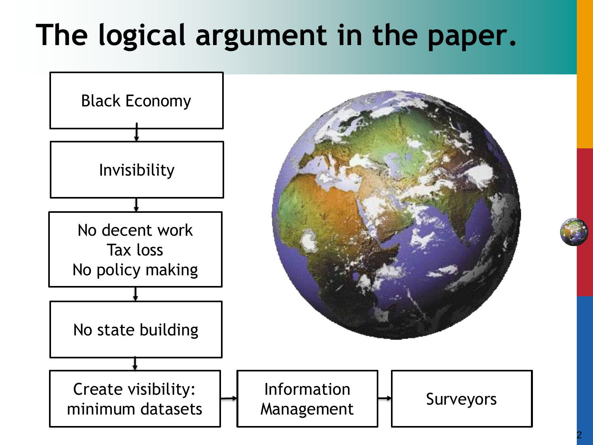## **The logical argument in the paper.**

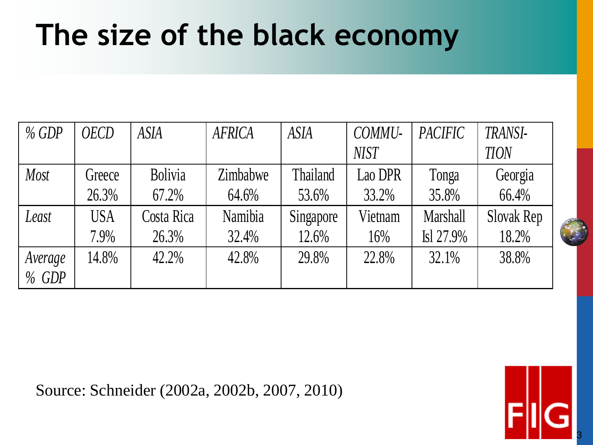### **The size of the black economy**

| $%$ GDP | <b>OECD</b> | <b>ASIA</b>    | <b>AFRICA</b> | <b>ASIA</b>     | COMMU-      | <b>PACIFIC</b> | TRANSI-     |
|---------|-------------|----------------|---------------|-----------------|-------------|----------------|-------------|
|         |             |                |               |                 | <b>NIST</b> |                | <b>TION</b> |
| Most    | Greece      | <b>Bolivia</b> | Zimbabwe      | <b>Thailand</b> | Lao DPR     | Tonga          | Georgia     |
|         | 26.3%       | 67.2%          | 64.6%         | 53.6%           | 33.2%       | 35.8%          | 66.4%       |
| Least   | <b>USA</b>  | Costa Rica     | Namibia       | Singapore       | Vietnam     | Marshall       | Slovak Rep  |
|         | 7.9%        | 26.3%          | 32.4%         | 12.6%           | 16%         | Isl 27.9%      | 18.2%       |
| Average | 14.8%       | 42.2%          | 42.8%         | 29.8%           | 22.8%       | 32.1%          | 38.8%       |
| $%$ GDP |             |                |               |                 |             |                |             |

Source: Schneider (2002a, 2002b, 2007, 2010)

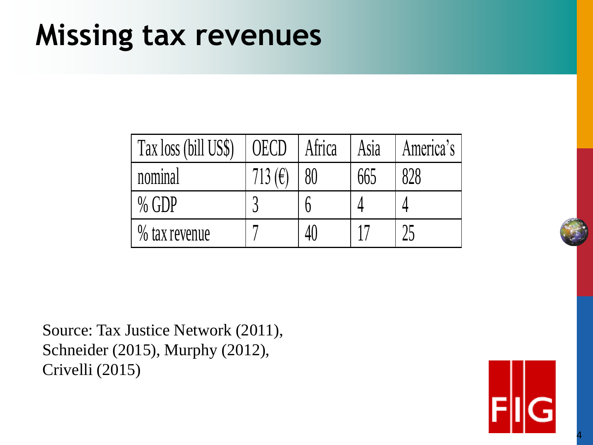#### **Missing tax revenues**

| Tax loss (bill US\$) | OECD      | Africa | Asia | America's |
|----------------------|-----------|--------|------|-----------|
| nominal              | 713 $(E)$ |        | 665  | 828       |
| $%$ GDP              |           |        |      |           |
| % tax revenue        |           |        |      |           |

Source: Tax Justice Network (2011), Schneider (2015), Murphy (2012), Crivelli (2015)



4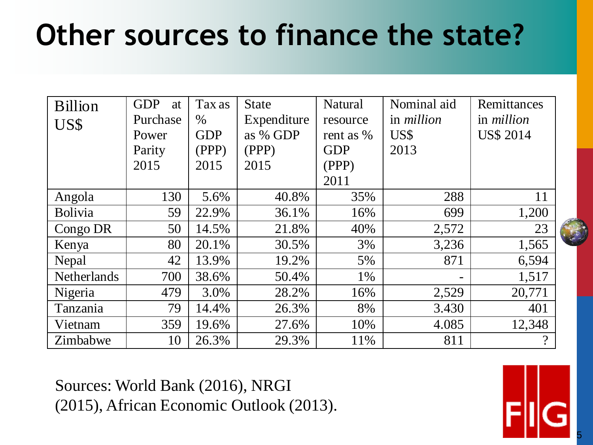## **Other sources to finance the state?**

| <b>Billion</b>     | <b>GDP</b><br>at | Tax as     | <b>State</b> | Natural    | Nominal aid       | Remittances       |
|--------------------|------------------|------------|--------------|------------|-------------------|-------------------|
| US\$               | Purchase         | $\%$       | Expenditure  | resource   | in <i>million</i> | in <i>million</i> |
|                    | Power            | <b>GDP</b> | as % GDP     | rent as %  | US\$              | <b>US\$ 2014</b>  |
|                    | Parity           | (PPP)      | (PPP)        | <b>GDP</b> | 2013              |                   |
|                    | 2015             | 2015       | 2015         | (PPP)      |                   |                   |
|                    |                  |            |              | 2011       |                   |                   |
| Angola             | 130              | 5.6%       | 40.8%        | 35%        | 288               | 11                |
| <b>Bolivia</b>     | 59               | 22.9%      | 36.1%        | 16%        | 699               | 1,200             |
| Congo DR           | 50               | 14.5%      | 21.8%        | 40%        | 2,572             | 23                |
| Kenya              | 80               | 20.1%      | 30.5%        | 3%         | 3,236             | 1,565             |
| Nepal              | 42               | 13.9%      | 19.2%        | 5%         | 871               | 6,594             |
| <b>Netherlands</b> | 700              | 38.6%      | 50.4%        | 1%         |                   | 1,517             |
| Nigeria            | 479              | 3.0%       | 28.2%        | 16%        | 2,529             | 20,771            |
| Tanzania           | 79               | 14.4%      | 26.3%        | 8%         | 3.430             | 401               |
| Vietnam            | 359              | 19.6%      | 27.6%        | 10%        | 4.085             | 12,348            |
| Zimbabwe           | 10               | 26.3%      | 29.3%        | 11%        | 811               | $\gamma$          |

Sources: World Bank (2016), NRGI (2015), African Economic Outlook (2013).

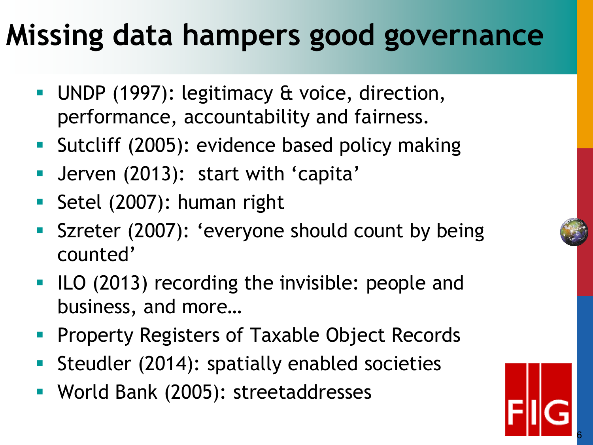## **Missing data hampers good governance**

- **UNDP** (1997): legitimacy & voice, direction, performance, accountability and fairness.
- **Sutcliff (2005): evidence based policy making**
- Jerven (2013): start with 'capita'
- Setel (2007): human right
- **Szreter (2007): 'everyone should count by being** counted'
- **ILO (2013) recording the invisible: people and** business, and more…
- **Property Registers of Taxable Object Records**
- Steudler (2014): spatially enabled societies
- **World Bank (2005): streetaddresses**

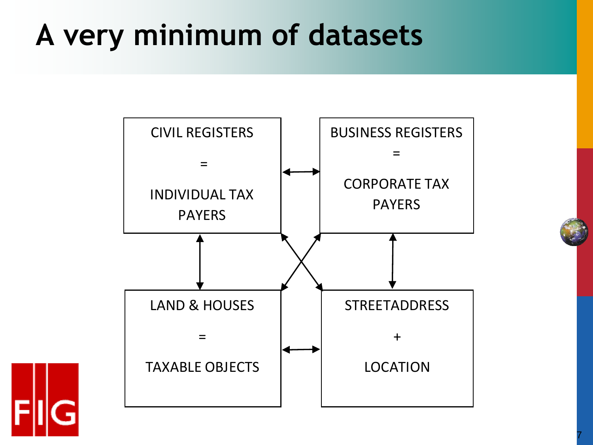## **A very minimum of datasets**



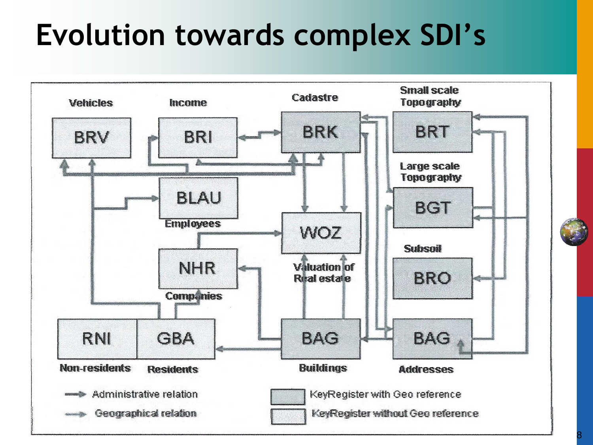### **Evolution towards complex SDI's**

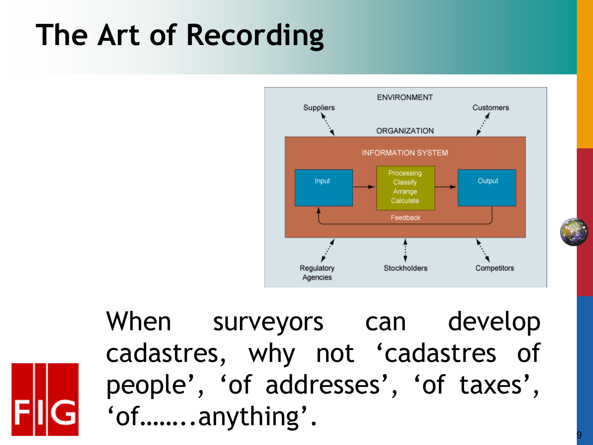# **The Art of Recording**



When surveyors can develop cadastres, why not 'cadastres of people', 'of addresses', 'of taxes', 'of……..anything'.